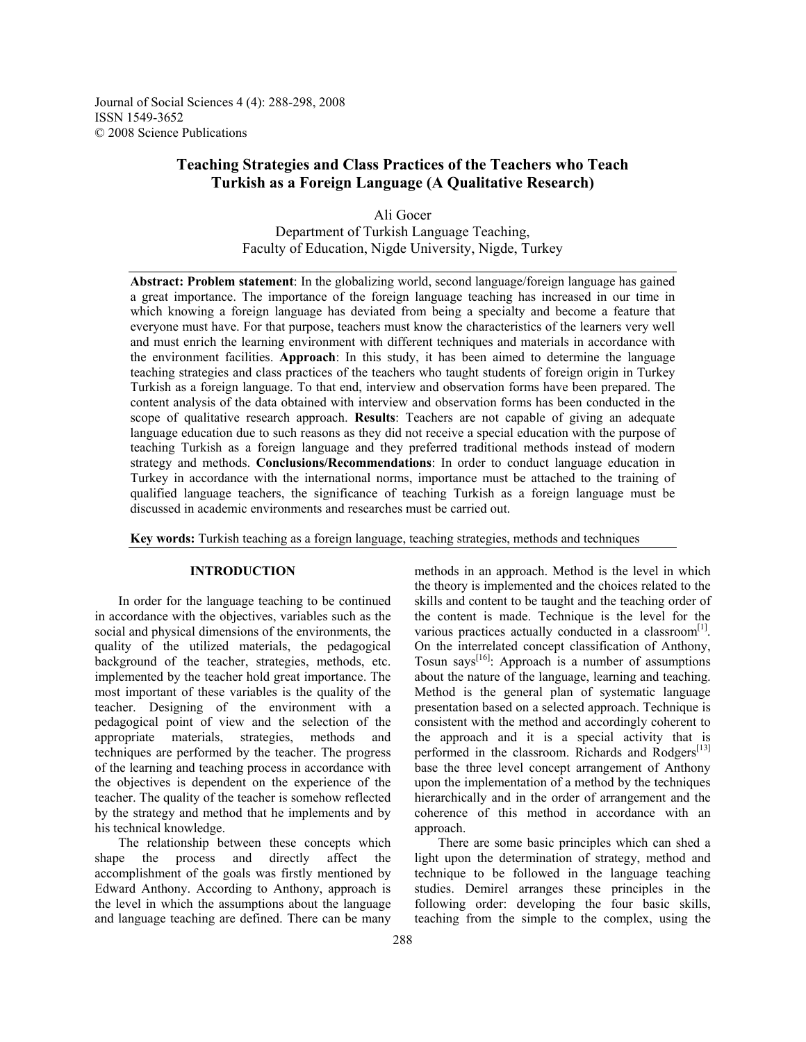Journal of Social Sciences 4 (4): 288-298, 2008 ISSN 1549-3652 © 2008 Science Publications

# **Teaching Strategies and Class Practices of the Teachers who Teach Turkish as a Foreign Language (A Qualitative Research)**

Ali Gocer Department of Turkish Language Teaching, Faculty of Education, Nigde University, Nigde, Turkey

**Abstract: Problem statement**: In the globalizing world, second language/foreign language has gained a great importance. The importance of the foreign language teaching has increased in our time in which knowing a foreign language has deviated from being a specialty and become a feature that everyone must have. For that purpose, teachers must know the characteristics of the learners very well and must enrich the learning environment with different techniques and materials in accordance with the environment facilities. **Approach**: In this study, it has been aimed to determine the language teaching strategies and class practices of the teachers who taught students of foreign origin in Turkey Turkish as a foreign language. To that end, interview and observation forms have been prepared. The content analysis of the data obtained with interview and observation forms has been conducted in the scope of qualitative research approach. **Results**: Teachers are not capable of giving an adequate language education due to such reasons as they did not receive a special education with the purpose of teaching Turkish as a foreign language and they preferred traditional methods instead of modern strategy and methods. **Conclusions/Recommendations**: In order to conduct language education in Turkey in accordance with the international norms, importance must be attached to the training of qualified language teachers, the significance of teaching Turkish as a foreign language must be discussed in academic environments and researches must be carried out.

**Key words:** Turkish teaching as a foreign language, teaching strategies, methods and techniques

## **INTRODUCTION**

 In order for the language teaching to be continued in accordance with the objectives, variables such as the social and physical dimensions of the environments, the quality of the utilized materials, the pedagogical background of the teacher, strategies, methods, etc. implemented by the teacher hold great importance. The most important of these variables is the quality of the teacher. Designing of the environment with a pedagogical point of view and the selection of the appropriate materials, strategies, methods and techniques are performed by the teacher. The progress of the learning and teaching process in accordance with the objectives is dependent on the experience of the teacher. The quality of the teacher is somehow reflected by the strategy and method that he implements and by his technical knowledge.

 The relationship between these concepts which shape the process and directly affect the accomplishment of the goals was firstly mentioned by Edward Anthony. According to Anthony, approach is the level in which the assumptions about the language and language teaching are defined. There can be many

methods in an approach. Method is the level in which the theory is implemented and the choices related to the skills and content to be taught and the teaching order of the content is made. Technique is the level for the various practices actually conducted in a classroom $[1]$ . On the interrelated concept classification of Anthony, Tosun says<sup>[16]</sup>: Approach is a number of assumptions about the nature of the language, learning and teaching. Method is the general plan of systematic language presentation based on a selected approach. Technique is consistent with the method and accordingly coherent to the approach and it is a special activity that is performed in the classroom. Richards and Rodgers<sup>[13]</sup> base the three level concept arrangement of Anthony upon the implementation of a method by the techniques hierarchically and in the order of arrangement and the coherence of this method in accordance with an approach.

 There are some basic principles which can shed a light upon the determination of strategy, method and technique to be followed in the language teaching studies. Demirel arranges these principles in the following order: developing the four basic skills, teaching from the simple to the complex, using the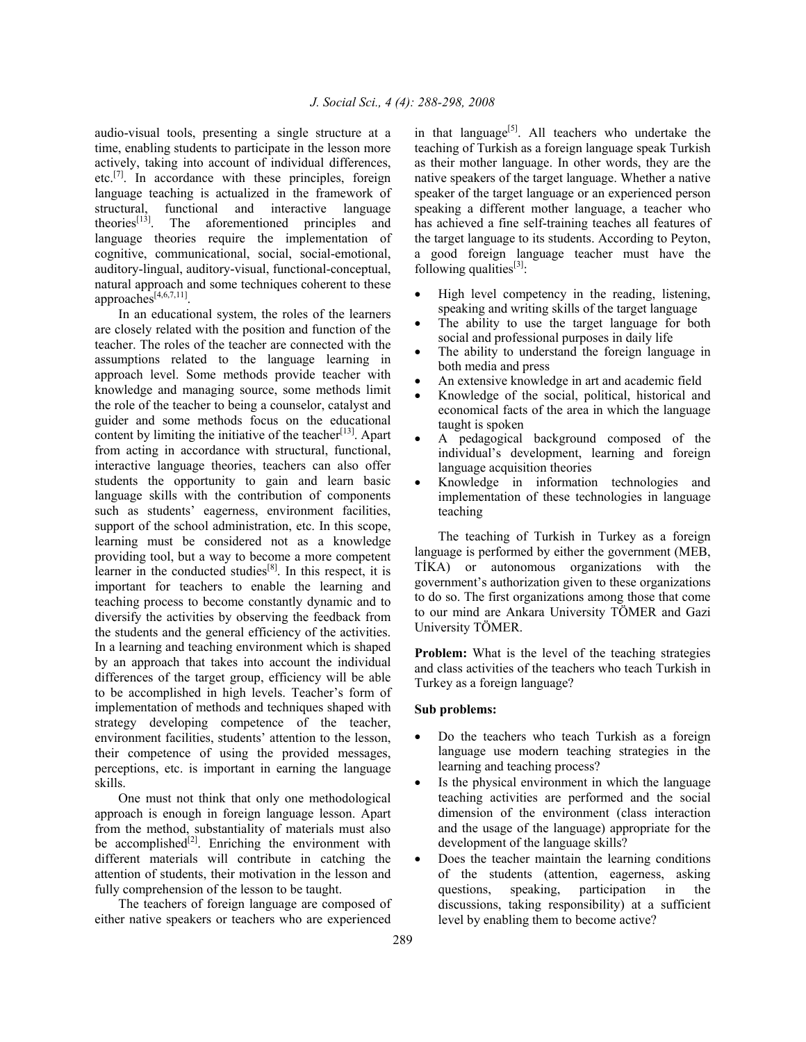audio-visual tools, presenting a single structure at a time, enabling students to participate in the lesson more actively, taking into account of individual differences, etc.<sup>[7]</sup>. In accordance with these principles, foreign language teaching is actualized in the framework of structural, functional and interactive language theories<sup>[13]</sup>. The aforementioned principles and language theories require the implementation of cognitive, communicational, social, social-emotional, auditory-lingual, auditory-visual, functional-conceptual, natural approach and some techniques coherent to these approaches $^{14,6,7,11}$ .

 In an educational system, the roles of the learners are closely related with the position and function of the teacher. The roles of the teacher are connected with the assumptions related to the language learning in approach level. Some methods provide teacher with knowledge and managing source, some methods limit the role of the teacher to being a counselor, catalyst and guider and some methods focus on the educational content by limiting the initiative of the teacher<sup>[13]</sup>. Apart from acting in accordance with structural, functional, interactive language theories, teachers can also offer students the opportunity to gain and learn basic language skills with the contribution of components such as students' eagerness, environment facilities, support of the school administration, etc. In this scope, learning must be considered not as a knowledge providing tool, but a way to become a more competent learner in the conducted studies<sup>[8]</sup>. In this respect, it is important for teachers to enable the learning and teaching process to become constantly dynamic and to diversify the activities by observing the feedback from the students and the general efficiency of the activities. In a learning and teaching environment which is shaped by an approach that takes into account the individual differences of the target group, efficiency will be able to be accomplished in high levels. Teacher's form of implementation of methods and techniques shaped with strategy developing competence of the teacher, environment facilities, students' attention to the lesson, their competence of using the provided messages, perceptions, etc. is important in earning the language skills.

 One must not think that only one methodological approach is enough in foreign language lesson. Apart from the method, substantiality of materials must also be accomplished $[2]$ . Enriching the environment with different materials will contribute in catching the attention of students, their motivation in the lesson and fully comprehension of the lesson to be taught.

 The teachers of foreign language are composed of either native speakers or teachers who are experienced

in that language<sup>[5]</sup>. All teachers who undertake the teaching of Turkish as a foreign language speak Turkish as their mother language. In other words, they are the native speakers of the target language. Whether a native speaker of the target language or an experienced person speaking a different mother language, a teacher who has achieved a fine self-training teaches all features of the target language to its students. According to Peyton, a good foreign language teacher must have the following qualities $^{[3]}$ :

- High level competency in the reading, listening, speaking and writing skills of the target language
- The ability to use the target language for both social and professional purposes in daily life
- The ability to understand the foreign language in both media and press
- An extensive knowledge in art and academic field
- Knowledge of the social, political, historical and economical facts of the area in which the language taught is spoken
- A pedagogical background composed of the individual's development, learning and foreign language acquisition theories
- Knowledge in information technologies and implementation of these technologies in language teaching

 The teaching of Turkish in Turkey as a foreign language is performed by either the government (MEB, TİKA) or autonomous organizations with the government's authorization given to these organizations to do so. The first organizations among those that come to our mind are Ankara University TÖMER and Gazi University TÖMER.

**Problem:** What is the level of the teaching strategies and class activities of the teachers who teach Turkish in Turkey as a foreign language?

#### **Sub problems:**

- Do the teachers who teach Turkish as a foreign language use modern teaching strategies in the learning and teaching process?
- Is the physical environment in which the language teaching activities are performed and the social dimension of the environment (class interaction and the usage of the language) appropriate for the development of the language skills?
- Does the teacher maintain the learning conditions of the students (attention, eagerness, asking questions, speaking, participation in the discussions, taking responsibility) at a sufficient level by enabling them to become active?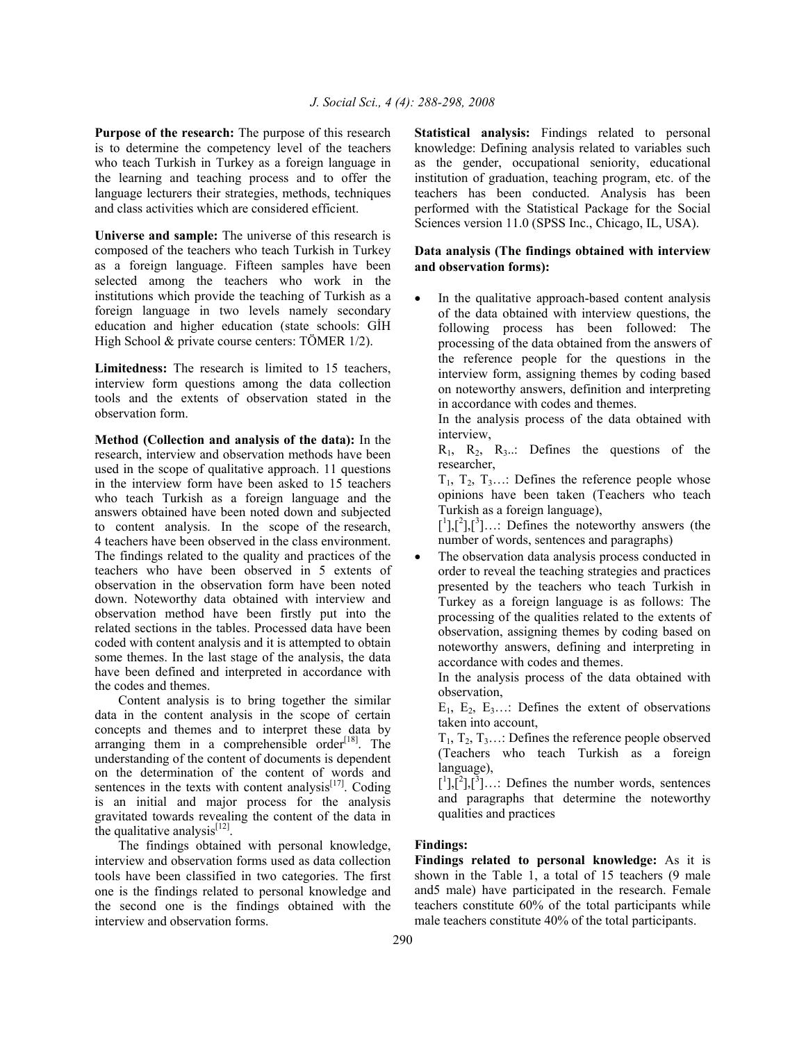**Purpose of the research:** The purpose of this research is to determine the competency level of the teachers who teach Turkish in Turkey as a foreign language in the learning and teaching process and to offer the language lecturers their strategies, methods, techniques and class activities which are considered efficient.

**Universe and sample:** The universe of this research is composed of the teachers who teach Turkish in Turkey as a foreign language. Fifteen samples have been selected among the teachers who work in the institutions which provide the teaching of Turkish as a foreign language in two levels namely secondary education and higher education (state schools: GİH High School & private course centers: TÖMER 1/2).

**Limitedness:** The research is limited to 15 teachers, interview form questions among the data collection tools and the extents of observation stated in the observation form.

**Method (Collection and analysis of the data):** In the research, interview and observation methods have been used in the scope of qualitative approach. 11 questions in the interview form have been asked to 15 teachers who teach Turkish as a foreign language and the answers obtained have been noted down and subjected to content analysis. In the scope of the research, 4 teachers have been observed in the class environment. The findings related to the quality and practices of the teachers who have been observed in 5 extents of observation in the observation form have been noted down. Noteworthy data obtained with interview and observation method have been firstly put into the related sections in the tables. Processed data have been coded with content analysis and it is attempted to obtain some themes. In the last stage of the analysis, the data have been defined and interpreted in accordance with the codes and themes.

 Content analysis is to bring together the similar data in the content analysis in the scope of certain concepts and themes and to interpret these data by arranging them in a comprehensible order<sup>[18]</sup>. The understanding of the content of documents is dependent on the determination of the content of words and sentences in the texts with content analysis $[17]$ . Coding is an initial and major process for the analysis gravitated towards revealing the content of the data in the qualitative analysis<sup>[12]</sup>.

 The findings obtained with personal knowledge, interview and observation forms used as data collection tools have been classified in two categories. The first one is the findings related to personal knowledge and the second one is the findings obtained with the interview and observation forms.

**Statistical analysis:** Findings related to personal knowledge: Defining analysis related to variables such as the gender, occupational seniority, educational institution of graduation, teaching program, etc. of the teachers has been conducted. Analysis has been performed with the Statistical Package for the Social Sciences version 11.0 (SPSS Inc., Chicago, IL, USA).

# **Data analysis (The findings obtained with interview and observation forms):**

In the qualitative approach-based content analysis of the data obtained with interview questions, the following process has been followed: The processing of the data obtained from the answers of the reference people for the questions in the interview form, assigning themes by coding based on noteworthy answers, definition and interpreting in accordance with codes and themes.

 In the analysis process of the data obtained with interview,

 $R_1$ ,  $R_2$ ,  $R_3$ ...: Defines the questions of the researcher,

 $T_1$ ,  $T_2$ ,  $T_3$ ...: Defines the reference people whose opinions have been taken (Teachers who teach Turkish as a foreign language),

 $\left[\begin{smallmatrix}1\\1\end{smallmatrix}\right],\left[\begin{smallmatrix}3\\1\end{smallmatrix}\right],\ldots$  Defines the noteworthy answers (the number of words, sentences and paragraphs)

The observation data analysis process conducted in order to reveal the teaching strategies and practices presented by the teachers who teach Turkish in Turkey as a foreign language is as follows: The processing of the qualities related to the extents of observation, assigning themes by coding based on noteworthy answers, defining and interpreting in accordance with codes and themes.

 In the analysis process of the data obtained with observation,

 $E_1$ ,  $E_2$ ,  $E_3$ ...: Defines the extent of observations taken into account,

 $T_1, T_2, T_3, \ldots$ : Defines the reference people observed (Teachers who teach Turkish as a foreign language),

 $\begin{bmatrix} 1 \end{bmatrix}$ ,  $\begin{bmatrix} 2 \end{bmatrix}$ ,  $\begin{bmatrix} 3 \end{bmatrix}$ ...: Defines the number words, sentences and paragraphs that determine the noteworthy qualities and practices

## **Findings:**

**Findings related to personal knowledge:** As it is shown in the Table 1, a total of 15 teachers (9 male and5 male) have participated in the research. Female teachers constitute 60% of the total participants while male teachers constitute 40% of the total participants.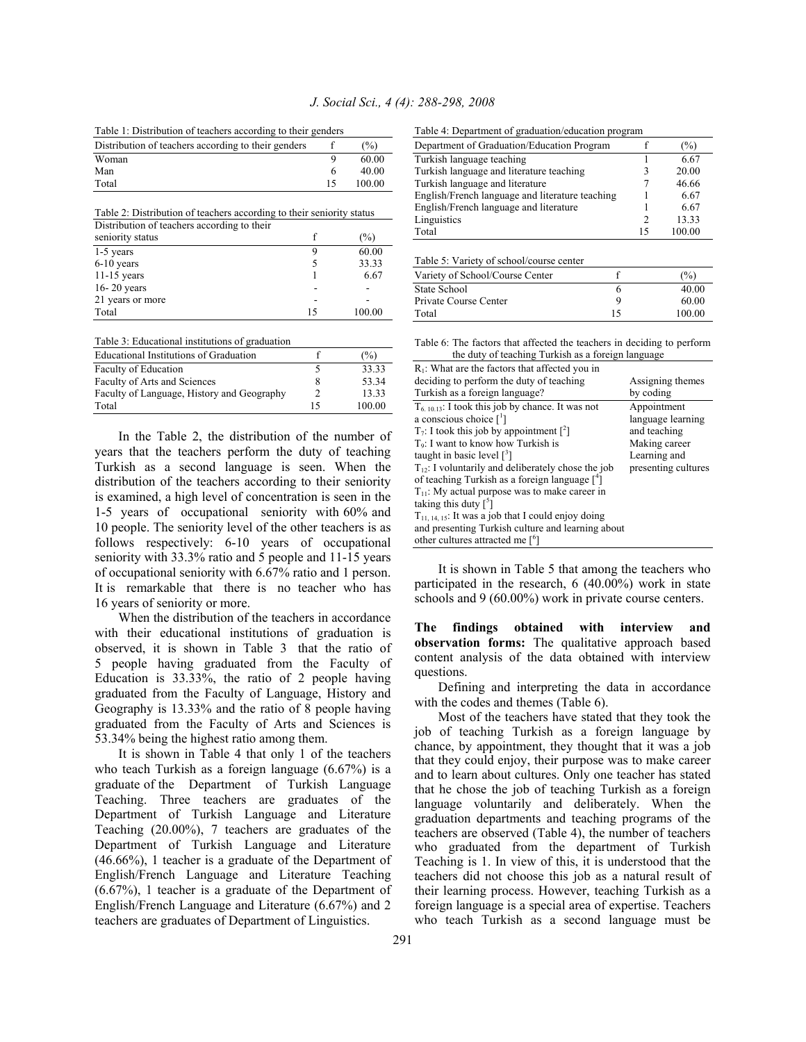Table 1: Distribution of teachers according to their genders

| Distribution of teachers according to their genders |    | $\frac{6}{2}$ |
|-----------------------------------------------------|----|---------------|
| Woman                                               |    | 60.00         |
| Man                                                 |    | 40.00         |
| Total                                               | 15 | 100.00        |

Table 2: Distribution of teachers according to their seniority status

| Distribution of teachers according to their |    |        |
|---------------------------------------------|----|--------|
| seniority status                            |    | $(\%)$ |
| 1-5 years                                   |    | 60.00  |
| $6-10$ years                                |    | 33.33  |
| $11-15$ years                               |    | 6.67   |
| $16 - 20$ years                             |    |        |
| 21 years or more                            |    |        |
| Total                                       | 15 | 100.00 |

Table 3: Educational institutions of graduation

| Educational Institutions of Graduation     |    | $\frac{6}{2}$ |
|--------------------------------------------|----|---------------|
| Faculty of Education                       |    | 33.33         |
| Faculty of Arts and Sciences               | 8  | 53.34         |
| Faculty of Language, History and Geography |    | 13.33         |
| Total                                      | 15 | 100.00        |

 In the Table 2, the distribution of the number of years that the teachers perform the duty of teaching Turkish as a second language is seen. When the distribution of the teachers according to their seniority is examined, a high level of concentration is seen in the 1-5 years of occupational seniority with 60% and 10 people. The seniority level of the other teachers is as follows respectively: 6-10 years of occupational seniority with 33.3% ratio and 5 people and 11-15 years of occupational seniority with 6.67% ratio and 1 person. It is remarkable that there is no teacher who has 16 years of seniority or more.

 When the distribution of the teachers in accordance with their educational institutions of graduation is observed, it is shown in Table 3 that the ratio of 5 people having graduated from the Faculty of Education is 33.33%, the ratio of 2 people having graduated from the Faculty of Language, History and Geography is 13.33% and the ratio of 8 people having graduated from the Faculty of Arts and Sciences is 53.34% being the highest ratio among them.

 It is shown in Table 4 that only 1 of the teachers who teach Turkish as a foreign language (6.67%) is a graduate of the Department of Turkish Language Teaching. Three teachers are graduates of the Department of Turkish Language and Literature Teaching (20.00%), 7 teachers are graduates of the Department of Turkish Language and Literature (46.66%), 1 teacher is a graduate of the Department of English/French Language and Literature Teaching (6.67%), 1 teacher is a graduate of the Department of English/French Language and Literature (6.67%) and 2 teachers are graduates of Department of Linguistics.

Table 4: Department of graduation/education program

| Department of Graduation/Education Program      |    | $(\%)$ |
|-------------------------------------------------|----|--------|
| Turkish language teaching                       |    | 6.67   |
| Turkish language and literature teaching        |    | 20.00  |
| Turkish language and literature                 |    | 46.66  |
| English/French language and literature teaching |    | 6.67   |
| English/French language and literature          |    | 6.67   |
| Linguistics                                     | 2  | 13.33  |
| Total                                           | 15 | 100.00 |

| Table 5: Variety of school/course center |    |        |  |
|------------------------------------------|----|--------|--|
| Variety of School/Course Center          |    | (%)    |  |
| State School                             | b  | 40.00  |  |
| Private Course Center                    | Q  | 60.00  |  |
| Total                                    | 15 | 100.00 |  |

Table 6: The factors that affected the teachers in deciding to perform the duty of teaching Turkish as a foreign language

| $R_1$ : What are the factors that affected you in          |                     |
|------------------------------------------------------------|---------------------|
| deciding to perform the duty of teaching                   | Assigning themes    |
| Turkish as a foreign language?                             | by coding           |
| $T_{6,10,13}$ : I took this job by chance. It was not      | Appointment         |
| a conscious choice $\lceil \cdot \rceil$                   | language learning   |
| $T_7$ : I took this job by appointment [ <sup>2</sup> ]    | and teaching        |
| T <sub>9</sub> : I want to know how Turkish is             | Making career       |
| taught in basic level $\binom{3}{7}$                       | Learning and        |
| $T_{12}$ : I voluntarily and deliberately chose the job    | presenting cultures |
| of teaching Turkish as a foreign language $\lceil^4\rceil$ |                     |
| $T_{11}$ : My actual purpose was to make career in         |                     |
| taking this duty $\lceil \cdot \rceil$                     |                     |
| $T_{11,14,15}$ : It was a job that I could enjoy doing     |                     |
| and presenting Turkish culture and learning about          |                     |
| other cultures attracted me [ <sup>6</sup> ]               |                     |
|                                                            |                     |

 It is shown in Table 5 that among the teachers who participated in the research, 6 (40.00%) work in state schools and 9 (60.00%) work in private course centers.

**The findings obtained with interview and observation forms:** The qualitative approach based content analysis of the data obtained with interview questions.

 Defining and interpreting the data in accordance with the codes and themes (Table 6).

 Most of the teachers have stated that they took the job of teaching Turkish as a foreign language by chance, by appointment, they thought that it was a job that they could enjoy, their purpose was to make career and to learn about cultures. Only one teacher has stated that he chose the job of teaching Turkish as a foreign language voluntarily and deliberately. When the graduation departments and teaching programs of the teachers are observed (Table 4), the number of teachers who graduated from the department of Turkish Teaching is 1. In view of this, it is understood that the teachers did not choose this job as a natural result of their learning process. However, teaching Turkish as a foreign language is a special area of expertise. Teachers who teach Turkish as a second language must be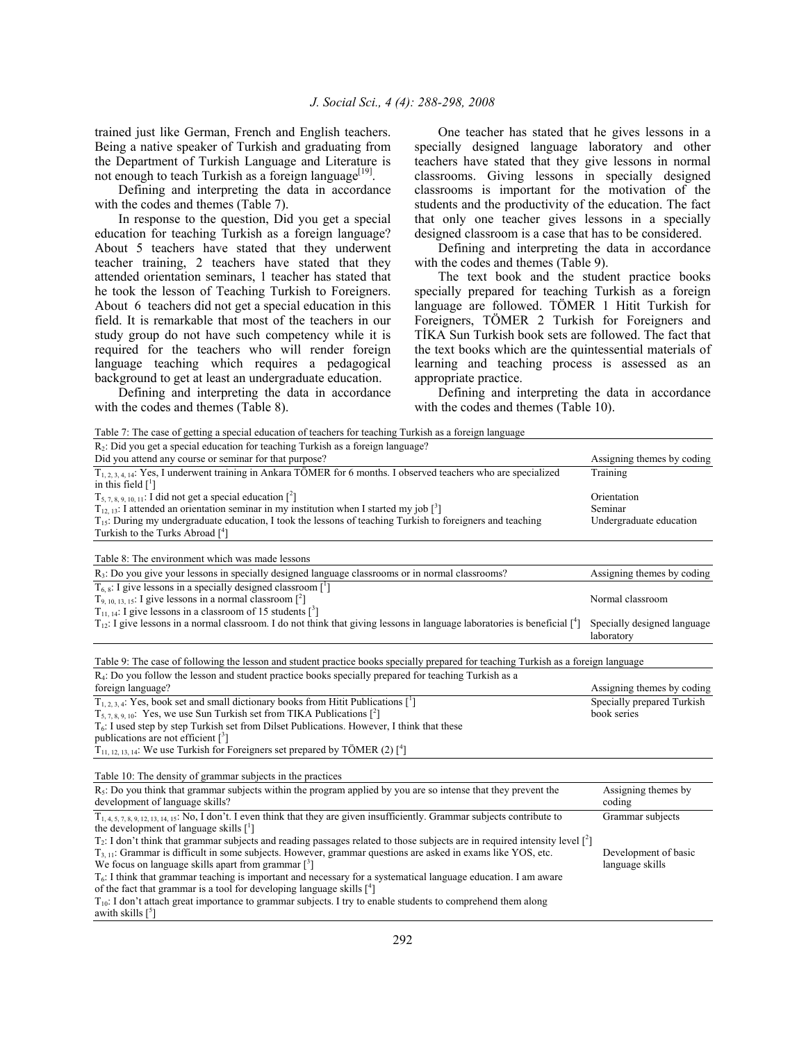trained just like German, French and English teachers. Being a native speaker of Turkish and graduating from the Department of Turkish Language and Literature is not enough to teach Turkish as a foreign language<sup>[19]</sup>.

 Defining and interpreting the data in accordance with the codes and themes (Table 7).

 In response to the question, Did you get a special education for teaching Turkish as a foreign language? About 5 teachers have stated that they underwent teacher training, 2 teachers have stated that they attended orientation seminars, 1 teacher has stated that he took the lesson of Teaching Turkish to Foreigners. About 6 teachers did not get a special education in this field. It is remarkable that most of the teachers in our study group do not have such competency while it is required for the teachers who will render foreign language teaching which requires a pedagogical background to get at least an undergraduate education.

 Defining and interpreting the data in accordance with the codes and themes (Table 8).

 One teacher has stated that he gives lessons in a specially designed language laboratory and other teachers have stated that they give lessons in normal classrooms. Giving lessons in specially designed classrooms is important for the motivation of the students and the productivity of the education. The fact that only one teacher gives lessons in a specially designed classroom is a case that has to be considered.

 Defining and interpreting the data in accordance with the codes and themes (Table 9).

 The text book and the student practice books specially prepared for teaching Turkish as a foreign language are followed. TÖMER 1 Hitit Turkish for Foreigners, TÖMER 2 Turkish for Foreigners and TİKA Sun Turkish book sets are followed. The fact that the text books which are the quintessential materials of learning and teaching process is assessed as an appropriate practice.

 Defining and interpreting the data in accordance with the codes and themes (Table 10).

| Table 7: The case of getting a special education of teachers for teaching Turkish as a foreign language                                                   |                                           |
|-----------------------------------------------------------------------------------------------------------------------------------------------------------|-------------------------------------------|
| $R_2$ : Did you get a special education for teaching Turkish as a foreign language?                                                                       |                                           |
| Did you attend any course or seminar for that purpose?                                                                                                    | Assigning themes by coding                |
| $T_{1,2,3,4,14}$ : Yes, I underwent training in Ankara TÖMER for 6 months. I observed teachers who are specialized<br>in this field $\lceil \cdot \rceil$ | Training                                  |
| $T_{5, 7, 8, 9, 10, 11}$ : I did not get a special education $\lceil^2\rceil$                                                                             | Orientation                               |
| $T_{12, 13}$ : I attended an orientation seminar in my institution when I started my job $\lceil$ <sup>3</sup>                                            | Seminar                                   |
| $T_{15}$ : During my undergraduate education, I took the lessons of teaching Turkish to foreigners and teaching                                           | Undergraduate education                   |
| Turkish to the Turks Abroad $[4]$                                                                                                                         |                                           |
| Table 8: The environment which was made lessons                                                                                                           |                                           |
| $R_3$ : Do you give your lessons in specially designed language classrooms or in normal classrooms?                                                       | Assigning themes by coding                |
| $T_{6.8}$ : I give lessons in a specially designed classroom [1]                                                                                          |                                           |
| $T_{9,10,13,15}$ : I give lessons in a normal classroom $\lceil^2\rceil$                                                                                  | Normal classroom                          |
| $T_{11, 14}$ : I give lessons in a classroom of 15 students $\binom{3}{1}$                                                                                |                                           |
| $T_{12}$ : I give lessons in a normal classroom. I do not think that giving lessons in language laboratories is beneficial $\binom{4}{1}$                 | Specially designed language<br>laboratory |
| Table 9: The case of following the lesson and student practice books specially prepared for teaching Turkish as a foreign language                        |                                           |
| $R4$ : Do you follow the lesson and student practice books specially prepared for teaching Turkish as a                                                   |                                           |
| foreign language?                                                                                                                                         | Assigning themes by coding                |
| $T_{1,2,3,4}$ : Yes, book set and small dictionary books from Hitit Publications [ <sup>1</sup> ]                                                         | Specially prepared Turkish                |
| $T_{5,7,8,9,10}$ : Yes, we use Sun Turkish set from TIKA Publications $[2]$                                                                               | book series                               |
| $T6$ : I used step by step Turkish set from Dilset Publications. However, I think that these<br>publications are not efficient $\lceil$ <sup>3</sup> ]    |                                           |
| $T_{11, 12, 13, 14}$ : We use Turkish for Foreigners set prepared by TÖMER (2) [ <sup>4</sup> ]                                                           |                                           |
|                                                                                                                                                           |                                           |
| Table 10: The density of grammar subjects in the practices                                                                                                |                                           |
| $R_5$ : Do you think that grammar subjects within the program applied by you are so intense that they prevent the                                         | Assigning themes by                       |
| development of language skills?                                                                                                                           | coding                                    |
| $T_{1,4,5,7,8,9,12,13,14,15}$ : No, I don't. I even think that they are given insufficiently. Grammar subjects contribute to                              | Grammar subjects                          |
| the development of language skills [1]                                                                                                                    |                                           |
| $T_2$ : I don't think that grammar subjects and reading passages related to those subjects are in required intensity level $\binom{2}{1}$                 |                                           |
| $T_{3-11}$ : Grammar is difficult in some subjects. However, grammar questions are asked in exams like YOS, etc.                                          | Development of basic                      |
| We focus on language skills apart from grammar $\lceil$ <sup>3</sup>                                                                                      | language skills                           |
| $T_6$ : I think that grammar teaching is important and necessary for a systematical language education. I am aware                                        |                                           |
| of the fact that grammar is a tool for developing language skills $\binom{4}{1}$                                                                          |                                           |
| $T_{10}$ : I don't attach great importance to grammar subjects. I try to enable students to comprehend them along                                         |                                           |
| awith skills $\lceil$ <sup>5</sup> ]                                                                                                                      |                                           |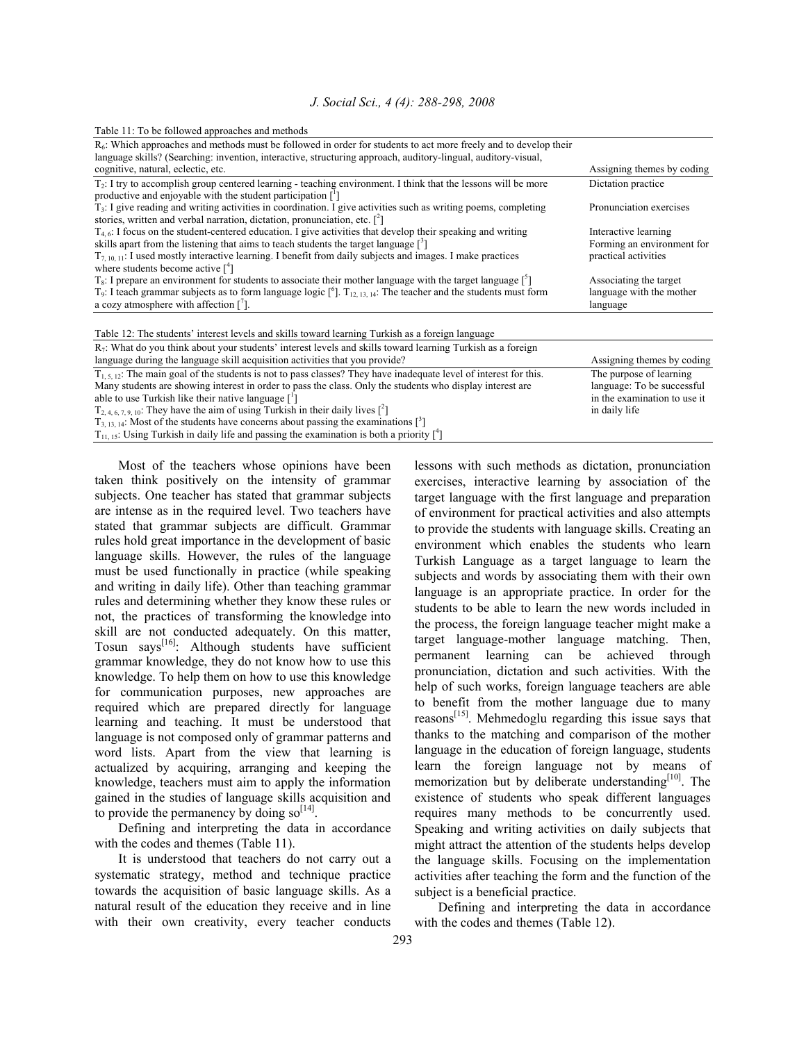| Table 11: To be followed approaches and methods |  |
|-------------------------------------------------|--|
|-------------------------------------------------|--|

| $R_6$ : Which approaches and methods must be followed in order for students to act more freely and to develop their<br>language skills? (Searching: invention, interactive, structuring approach, auditory-lingual, auditory-visual,<br>cognitive, natural, eclectic, etc. | Assigning themes by coding                            |
|----------------------------------------------------------------------------------------------------------------------------------------------------------------------------------------------------------------------------------------------------------------------------|-------------------------------------------------------|
| $T_2$ : I try to accomplish group centered learning - teaching environment. I think that the lessons will be more<br>productive and enjoyable with the student participation $\lceil \cdot \rceil$                                                                         | Dictation practice                                    |
| $T_3$ : I give reading and writing activities in coordination. I give activities such as writing poems, completing<br>stories, written and verbal narration, dictation, pronunciation, etc. $\lceil^2\rceil$                                                               | Pronunciation exercises                               |
| $T_{4/6}$ : I focus on the student-centered education. I give activities that develop their speaking and writing<br>skills apart from the listening that aims to teach students the target language $\lceil \frac{3}{2} \rceil$                                            | Interactive learning<br>Forming an environment for    |
| $T_{7/10/11}$ : I used mostly interactive learning. I benefit from daily subjects and images. I make practices<br>where students become active $\binom{4}{1}$                                                                                                              | practical activities                                  |
| $T_s$ : I prepare an environment for students to associate their mother language with the target language $\lceil \frac{5}{2} \rceil$                                                                                                                                      | Associating the target                                |
| $T_9$ : I teach grammar subjects as to form language logic $\int_{0}^{6}$ ]. $T_{12,13,14}$ : The teacher and the students must form<br>a cozy atmosphere with affection $\lceil$ <sup>7</sup> .                                                                           | language with the mother<br>language                  |
| Table 12: The students' interest levels and skills toward learning Turkish as a foreign language                                                                                                                                                                           |                                                       |
| $R_7$ : What do you think about your students' interest levels and skills toward learning Turkish as a foreign<br>language during the language skill acquisition activities that you provide?                                                                              | Assigning themes by coding                            |
| $T_{1, 5, 12}$ : The main goal of the students is not to pass classes? They have inadequate level of interest for this.<br>Many students are showing interest in order to pass the class. Only the students who display interest are                                       | The purpose of learning<br>language: To be successful |
| able to use Turkish like their native language $\lceil \cdot \rceil$                                                                                                                                                                                                       | in the examination to use it                          |
| $T_{2,4,6,7,9,10}$ . They have the aim of using Turkish in their daily lives $\binom{2}{1}$                                                                                                                                                                                | in daily life                                         |
| $T_{3, 13, 14}$ : Most of the students have concerns about passing the examinations $[^3]$<br>$T_{11, 15}$ : Using Turkish in daily life and passing the examination is both a priority $\binom{4}{1}$                                                                     |                                                       |

 Most of the teachers whose opinions have been taken think positively on the intensity of grammar subjects. One teacher has stated that grammar subjects are intense as in the required level. Two teachers have stated that grammar subjects are difficult. Grammar rules hold great importance in the development of basic language skills. However, the rules of the language must be used functionally in practice (while speaking and writing in daily life). Other than teaching grammar rules and determining whether they know these rules or not, the practices of transforming the knowledge into skill are not conducted adequately. On this matter, Tosun says<sup>[16]</sup>: Although students have sufficient grammar knowledge, they do not know how to use this knowledge. To help them on how to use this knowledge for communication purposes, new approaches are required which are prepared directly for language learning and teaching. It must be understood that language is not composed only of grammar patterns and word lists. Apart from the view that learning is actualized by acquiring, arranging and keeping the knowledge, teachers must aim to apply the information gained in the studies of language skills acquisition and to provide the permanency by doing  $so<sup>[14]</sup>$ .

 Defining and interpreting the data in accordance with the codes and themes (Table 11).

 It is understood that teachers do not carry out a systematic strategy, method and technique practice towards the acquisition of basic language skills. As a natural result of the education they receive and in line with their own creativity, every teacher conducts lessons with such methods as dictation, pronunciation exercises, interactive learning by association of the target language with the first language and preparation of environment for practical activities and also attempts to provide the students with language skills. Creating an environment which enables the students who learn Turkish Language as a target language to learn the subjects and words by associating them with their own language is an appropriate practice. In order for the students to be able to learn the new words included in the process, the foreign language teacher might make a target language-mother language matching. Then, permanent learning can be achieved through pronunciation, dictation and such activities. With the help of such works, foreign language teachers are able to benefit from the mother language due to many reasons[15]. Mehmedoglu regarding this issue says that thanks to the matching and comparison of the mother language in the education of foreign language, students learn the foreign language not by means of memorization but by deliberate understanding<sup>[10]</sup>. The existence of students who speak different languages requires many methods to be concurrently used. Speaking and writing activities on daily subjects that might attract the attention of the students helps develop the language skills. Focusing on the implementation activities after teaching the form and the function of the subject is a beneficial practice.

 Defining and interpreting the data in accordance with the codes and themes (Table 12).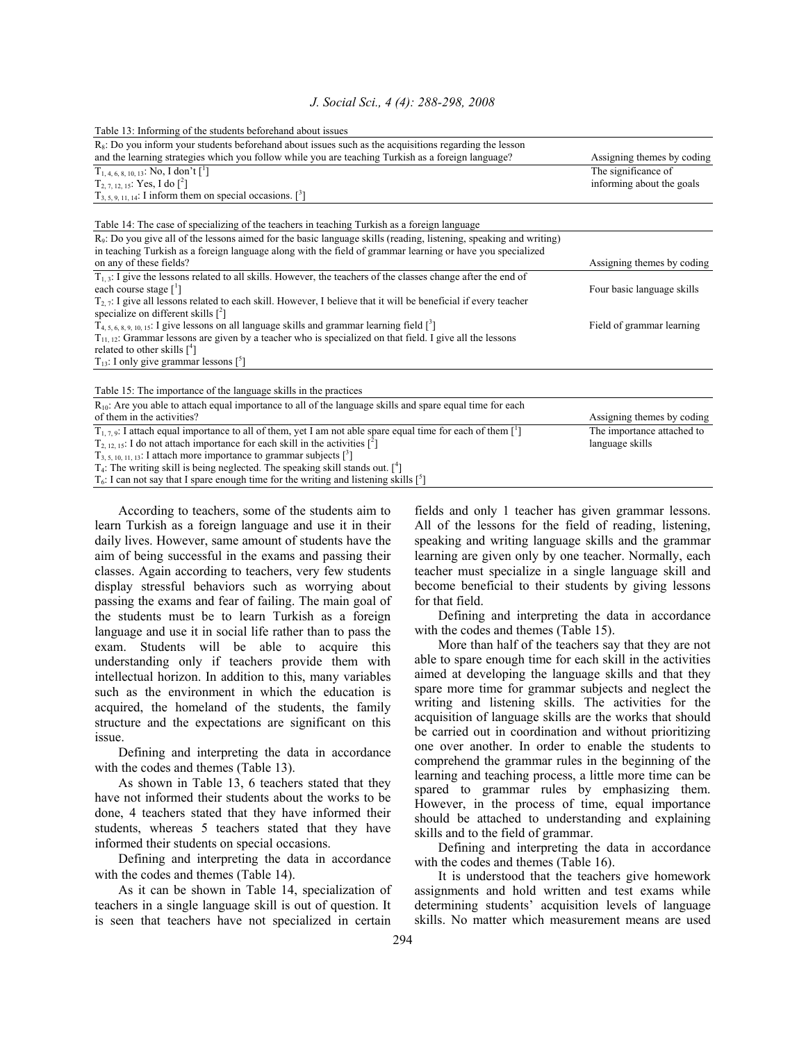Table 13: Informing of the students beforehand about issues

| $R_s$ : Do you inform your students beforehand about issues such as the acquisitions regarding the lesson                                                                  |                            |
|----------------------------------------------------------------------------------------------------------------------------------------------------------------------------|----------------------------|
| and the learning strategies which you follow while you are teaching Turkish as a foreign language?                                                                         | Assigning themes by coding |
| $T_{1,4,6,8,10,13}$ : No, I don't [ <sup>1</sup> ]                                                                                                                         | The significance of        |
| $T_{2, 7, 12, 15}$ : Yes, I do $\binom{2}{1}$                                                                                                                              | informing about the goals  |
| $T_{3, 5, 9, 11, 14}$ : I inform them on special occasions. [ <sup>3</sup> ]                                                                                               |                            |
|                                                                                                                                                                            |                            |
| Table 14: The case of specializing of the teachers in teaching Turkish as a foreign language                                                                               |                            |
| $R9$ : Do you give all of the lessons aimed for the basic language skills (reading, listening, speaking and writing)                                                       |                            |
| in teaching Turkish as a foreign language along with the field of grammar learning or have you specialized                                                                 |                            |
| on any of these fields?                                                                                                                                                    | Assigning themes by coding |
| $T_{1,3}$ : I give the lessons related to all skills. However, the teachers of the classes change after the end of                                                         |                            |
| each course stage $\lceil \cdot \rceil$                                                                                                                                    | Four basic language skills |
| $T_{2,7}$ : I give all lessons related to each skill. However, I believe that it will be beneficial if every teacher                                                       |                            |
| specialize on different skills $\binom{2}{1}$                                                                                                                              |                            |
| $T_{4, 5, 6, 8, 9, 10, 15}$ : I give lessons on all language skills and grammar learning field $\lceil$ <sup>3</sup> ]                                                     | Field of grammar learning  |
| $T_{11, 12}$ : Grammar lessons are given by a teacher who is specialized on that field. I give all the lessons<br>related to other skills $\lceil$ <sup>4</sup> $\rceil$   |                            |
| $T_{13}$ : I only give grammar lessons $[^{5}]$                                                                                                                            |                            |
|                                                                                                                                                                            |                            |
|                                                                                                                                                                            |                            |
| Table 15: The importance of the language skills in the practices                                                                                                           |                            |
| $R_{10}$ : Are you able to attach equal importance to all of the language skills and spare equal time for each<br>of them in the activities?                               |                            |
|                                                                                                                                                                            | Assigning themes by coding |
| $T_{1,7,9}$ : I attach equal importance to all of them, yet I am not able spare equal time for each of them [1]                                                            | The importance attached to |
| $T_{2,12,15}$ : I do not attach importance for each skill in the activities $\binom{2}{1}$                                                                                 | language skills            |
| $T_{3, 5, 10, 11, 13}$ : I attach more importance to grammar subjects $[3]$<br>$T_4$ : The writing skill is being neglected. The speaking skill stands out. $\binom{4}{1}$ |                            |
|                                                                                                                                                                            |                            |
| $T_6$ : I can not say that I spare enough time for the writing and listening skills $\lceil \cdot^5 \rceil$                                                                |                            |

 According to teachers, some of the students aim to learn Turkish as a foreign language and use it in their daily lives. However, same amount of students have the aim of being successful in the exams and passing their classes. Again according to teachers, very few students display stressful behaviors such as worrying about passing the exams and fear of failing. The main goal of the students must be to learn Turkish as a foreign language and use it in social life rather than to pass the exam. Students will be able to acquire this understanding only if teachers provide them with intellectual horizon. In addition to this, many variables such as the environment in which the education is acquired, the homeland of the students, the family structure and the expectations are significant on this issue.

 Defining and interpreting the data in accordance with the codes and themes (Table 13).

 As shown in Table 13, 6 teachers stated that they have not informed their students about the works to be done, 4 teachers stated that they have informed their students, whereas 5 teachers stated that they have informed their students on special occasions.

 Defining and interpreting the data in accordance with the codes and themes (Table 14).

 As it can be shown in Table 14, specialization of teachers in a single language skill is out of question. It is seen that teachers have not specialized in certain

fields and only 1 teacher has given grammar lessons. All of the lessons for the field of reading, listening, speaking and writing language skills and the grammar learning are given only by one teacher. Normally, each teacher must specialize in a single language skill and become beneficial to their students by giving lessons for that field.

 Defining and interpreting the data in accordance with the codes and themes (Table 15).

 More than half of the teachers say that they are not able to spare enough time for each skill in the activities aimed at developing the language skills and that they spare more time for grammar subjects and neglect the writing and listening skills. The activities for the acquisition of language skills are the works that should be carried out in coordination and without prioritizing one over another. In order to enable the students to comprehend the grammar rules in the beginning of the learning and teaching process, a little more time can be spared to grammar rules by emphasizing them. However, in the process of time, equal importance should be attached to understanding and explaining skills and to the field of grammar.

 Defining and interpreting the data in accordance with the codes and themes (Table 16).

 It is understood that the teachers give homework assignments and hold written and test exams while determining students' acquisition levels of language skills. No matter which measurement means are used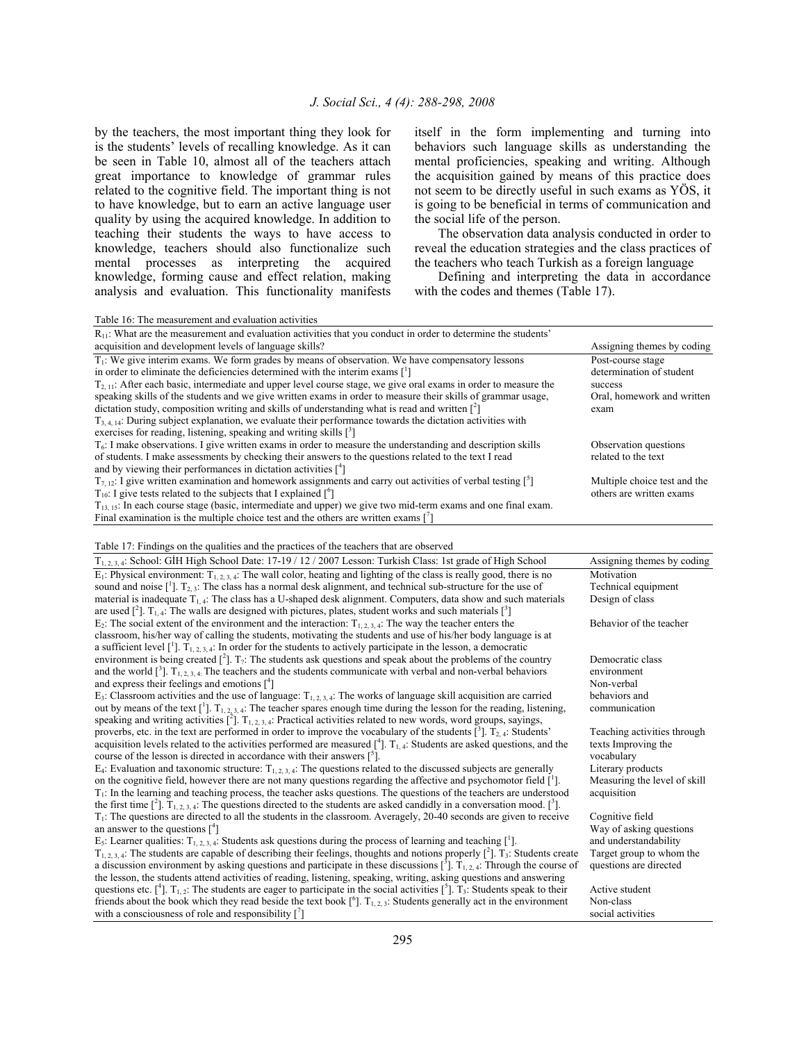by the teachers, the most important thing they look for is the students' levels of recalling knowledge. As it can be seen in Table 10, almost all of the teachers attach great importance to knowledge of grammar rules related to the cognitive field. The important thing is not to have knowledge, but to earn an active language user quality by using the acquired knowledge. In addition to teaching their students the ways to have access to knowledge, teachers should also functionalize such mental processes as interpreting the acquired knowledge, forming cause and effect relation, making analysis and evaluation. This functionality manifests itself in the form implementing and turning into behaviors such language skills as understanding the mental proficiencies, speaking and writing. Although the acquisition gained by means of this practice does not seem to be directly useful in such exams as YÖS, it is going to be beneficial in terms of communication and the social life of the person.

 The observation data analysis conducted in order to reveal the education strategies and the class practices of the teachers who teach Turkish as a foreign language

 Defining and interpreting the data in accordance with the codes and themes (Table 17).

| Table 16: The measurement and evaluation activities                                                                          |                              |
|------------------------------------------------------------------------------------------------------------------------------|------------------------------|
| $R_{11}$ : What are the measurement and evaluation activities that you conduct in order to determine the students'           |                              |
| acquisition and development levels of language skills?                                                                       | Assigning themes by coding   |
| $T_1$ : We give interim exams. We form grades by means of observation. We have compensatory lessons                          | Post-course stage            |
| in order to eliminate the deficiencies determined with the interim exams $\lceil \cdot \rceil$                               | determination of student     |
| $T_{2,11}$ : After each basic, intermediate and upper level course stage, we give oral exams in order to measure the         | success                      |
| speaking skills of the students and we give written exams in order to measure their skills of grammar usage,                 | Oral, homework and written   |
| dictation study, composition writing and skills of understanding what is read and written $\binom{2}{1}$                     | exam                         |
| $T_{3,4,14}$ . During subject explanation, we evaluate their performance towards the dictation activities with               |                              |
| exercises for reading, listening, speaking and writing skills $\lceil$ <sup>3</sup>                                          |                              |
| $T6$ : I make observations. I give written exams in order to measure the understanding and description skills                | Observation questions        |
| of students. I make assessments by checking their answers to the questions related to the text I read                        | related to the text          |
| and by viewing their performances in dictation activities $\binom{4}{1}$                                                     |                              |
| $T_{7,12}$ : I give written examination and homework assignments and carry out activities of verbal testing [ <sup>5</sup> ] | Multiple choice test and the |
| $T_{10}$ : I give tests related to the subjects that I explained $\lceil^{6}$ ]                                              | others are written exams     |
| $T_{13,15}$ : In each course stage (basic, intermediate and upper) we give two mid-term exams and one final exam.            |                              |
| Final examination is the multiple choice test and the others are written exams $\binom{7}{1}$                                |                              |

Table 17: Findings on the qualities and the practices of the teachers that are observed

| $T_{1,2,3,4}$ : School: GİH High School Date: 17-19 / 12 / 2007 Lesson: Turkish Class: 1st grade of High School                                                  | Assigning themes by coding   |
|------------------------------------------------------------------------------------------------------------------------------------------------------------------|------------------------------|
| $E_1$ : Physical environment: $T_{1,2,3,4}$ : The wall color, heating and lighting of the class is really good, there is no                                      | Motivation                   |
| sound and noise $\lceil \cdot \rceil$ . $T_{2,3}$ : The class has a normal desk alignment, and technical sub-structure for the use of                            | Technical equipment          |
| material is inadequate $T_{1,4}$ . The class has a U-shaped desk alignment. Computers, data show and such materials                                              | Design of class              |
| are used $\binom{2}{1}$ . T <sub>1, 4</sub> : The walls are designed with pictures, plates, student works and such materials $\binom{3}{1}$                      |                              |
| $E_2$ : The social extent of the environment and the interaction: $T_{1,2,3,4}$ : The way the teacher enters the                                                 | Behavior of the teacher      |
| classroom, his/her way of calling the students, motivating the students and use of his/her body language is at                                                   |                              |
| a sufficient level $\lceil \cdot \rceil$ . $T_{1,2,3,4}$ . In order for the students to actively participate in the lesson, a democratic                         |                              |
| environment is being created $[^2]$ . T <sub>2</sub> : The students ask questions and speak about the problems of the country                                    | Democratic class             |
| and the world $\lceil^3\rceil$ . $T_{1,2,3,4}$ . The teachers and the students communicate with verbal and non-verbal behaviors                                  | environment                  |
| and express their feelings and emotions $[4]$                                                                                                                    | Non-verbal                   |
| $E_3$ : Classroom activities and the use of language: $T_{1,2,3,4}$ : The works of language skill acquisition are carried                                        | behaviors and                |
| out by means of the text $\binom{1}{1}$ . $T_{1,2,3,4}$ . The teacher spares enough time during the lesson for the reading, listening,                           | communication                |
| speaking and writing activities $[^2]$ . $T_{1,2,3,4}$ : Practical activities related to new words, word groups, sayings,                                        |                              |
| proverbs, etc. in the text are performed in order to improve the vocabulary of the students $\int_1^3$ . T <sub>2</sub> 4: Students'                             | Teaching activities through  |
| acquisition levels related to the activities performed are measured $\binom{4}{1}$ . T <sub>1.4</sub> : Students are asked questions, and the                    | texts Improving the          |
| course of the lesson is directed in accordance with their answers $\lceil$ <sup>5</sup> .                                                                        | vocabulary                   |
| $E_4$ : Evaluation and taxonomic structure: $T_{1,2,3,4}$ : The questions related to the discussed subjects are generally                                        | Literary products            |
| on the cognitive field, however there are not many questions regarding the affective and psychomotor field $\lceil \cdot \rceil$ .                               | Measuring the level of skill |
| $T_1$ : In the learning and teaching process, the teacher asks questions. The questions of the teachers are understood                                           | acquisition                  |
| the first time $[^2]$ . $T_{1,2,3,4}$ : The questions directed to the students are asked candidly in a conversation mood. [ <sup>3</sup> ].                      |                              |
| $T_1$ : The questions are directed to all the students in the classroom. Averagely, 20-40 seconds are given to receive                                           | Cognitive field              |
| an answer to the questions $[4]$                                                                                                                                 | Way of asking questions      |
| E <sub>5</sub> : Learner qualities: $T_{1,2,3,4}$ : Students ask questions during the process of learning and teaching [1].                                      | and understandability        |
| $T_{1,2,3,4}$ : The students are capable of describing their feelings, thoughts and notions properly [ <sup>2</sup> ]. T <sub>3</sub> : Students create          | Target group to whom the     |
| a discussion environment by asking questions and participate in these discussions $\binom{3}{1}$ . $T_{1,2,4}$ . Through the course of                           | questions are directed       |
| the lesson, the students attend activities of reading, listening, speaking, writing, asking questions and answering                                              |                              |
| questions etc. [4]. T <sub>1,2</sub> : The students are eager to participate in the social activities [ <sup>5</sup> ]. T <sub>3</sub> : Students speak to their | Active student               |
| friends about the book which they read beside the text book $\lceil^{6}\rceil$ . $T_{1,2,3}$ : Students generally act in the environment                         | Non-class                    |
| with a consciousness of role and responsibility $[$ <sup>7</sup> $]$                                                                                             | social activities            |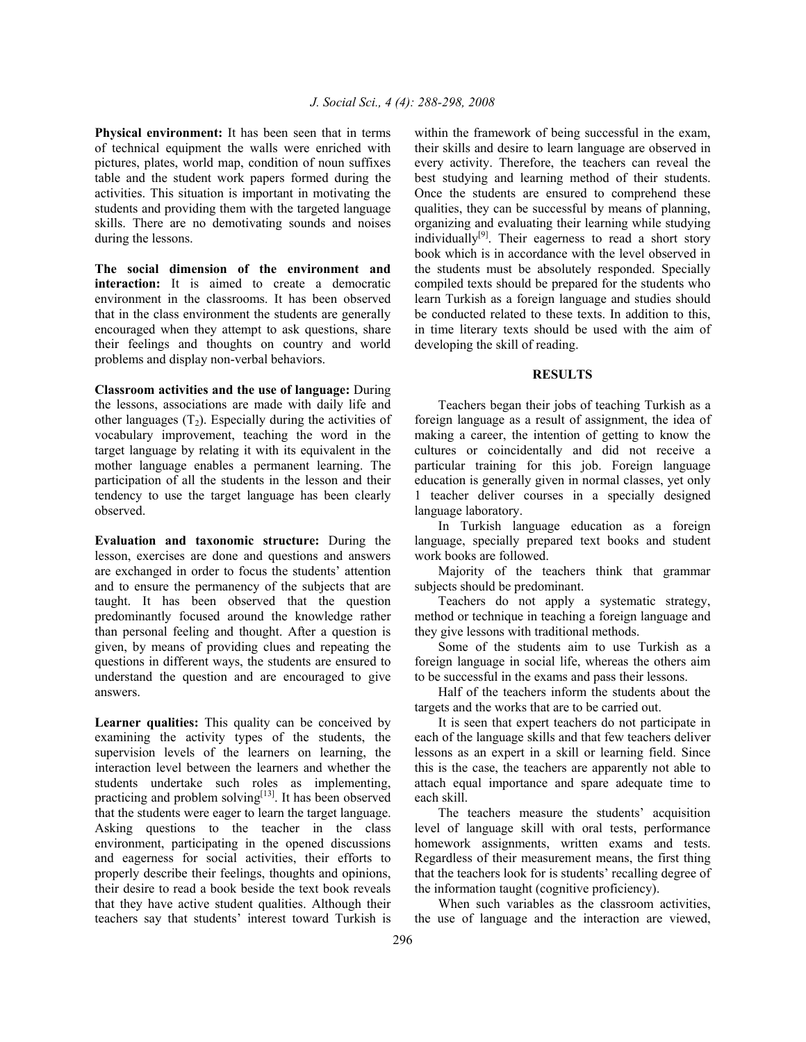**Physical environment:** It has been seen that in terms of technical equipment the walls were enriched with pictures, plates, world map, condition of noun suffixes table and the student work papers formed during the activities. This situation is important in motivating the students and providing them with the targeted language skills. There are no demotivating sounds and noises during the lessons.

**The social dimension of the environment and interaction:** It is aimed to create a democratic environment in the classrooms. It has been observed that in the class environment the students are generally encouraged when they attempt to ask questions, share their feelings and thoughts on country and world problems and display non-verbal behaviors.

**Classroom activities and the use of language:** During the lessons, associations are made with daily life and other languages  $(T_2)$ . Especially during the activities of vocabulary improvement, teaching the word in the target language by relating it with its equivalent in the mother language enables a permanent learning. The participation of all the students in the lesson and their tendency to use the target language has been clearly observed.

**Evaluation and taxonomic structure:** During the lesson, exercises are done and questions and answers are exchanged in order to focus the students' attention and to ensure the permanency of the subjects that are taught. It has been observed that the question predominantly focused around the knowledge rather than personal feeling and thought. After a question is given, by means of providing clues and repeating the questions in different ways, the students are ensured to understand the question and are encouraged to give answers.

**Learner qualities:** This quality can be conceived by examining the activity types of the students, the supervision levels of the learners on learning, the interaction level between the learners and whether the students undertake such roles as implementing, practicing and problem solving<sup>[13]</sup>. It has been observed that the students were eager to learn the target language. Asking questions to the teacher in the class environment, participating in the opened discussions and eagerness for social activities, their efforts to properly describe their feelings, thoughts and opinions, their desire to read a book beside the text book reveals that they have active student qualities. Although their teachers say that students' interest toward Turkish is

within the framework of being successful in the exam, their skills and desire to learn language are observed in every activity. Therefore, the teachers can reveal the best studying and learning method of their students. Once the students are ensured to comprehend these qualities, they can be successful by means of planning, organizing and evaluating their learning while studying individually<sup>[9]</sup>. Their eagerness to read a short story book which is in accordance with the level observed in the students must be absolutely responded. Specially compiled texts should be prepared for the students who learn Turkish as a foreign language and studies should be conducted related to these texts. In addition to this, in time literary texts should be used with the aim of developing the skill of reading.

#### **RESULTS**

 Teachers began their jobs of teaching Turkish as a foreign language as a result of assignment, the idea of making a career, the intention of getting to know the cultures or coincidentally and did not receive a particular training for this job. Foreign language education is generally given in normal classes, yet only 1 teacher deliver courses in a specially designed language laboratory.

 In Turkish language education as a foreign language, specially prepared text books and student work books are followed.

 Majority of the teachers think that grammar subjects should be predominant.

 Teachers do not apply a systematic strategy, method or technique in teaching a foreign language and they give lessons with traditional methods.

 Some of the students aim to use Turkish as a foreign language in social life, whereas the others aim to be successful in the exams and pass their lessons.

 Half of the teachers inform the students about the targets and the works that are to be carried out.

 It is seen that expert teachers do not participate in each of the language skills and that few teachers deliver lessons as an expert in a skill or learning field. Since this is the case, the teachers are apparently not able to attach equal importance and spare adequate time to each skill.

 The teachers measure the students' acquisition level of language skill with oral tests, performance homework assignments, written exams and tests. Regardless of their measurement means, the first thing that the teachers look for is students' recalling degree of the information taught (cognitive proficiency).

 When such variables as the classroom activities, the use of language and the interaction are viewed,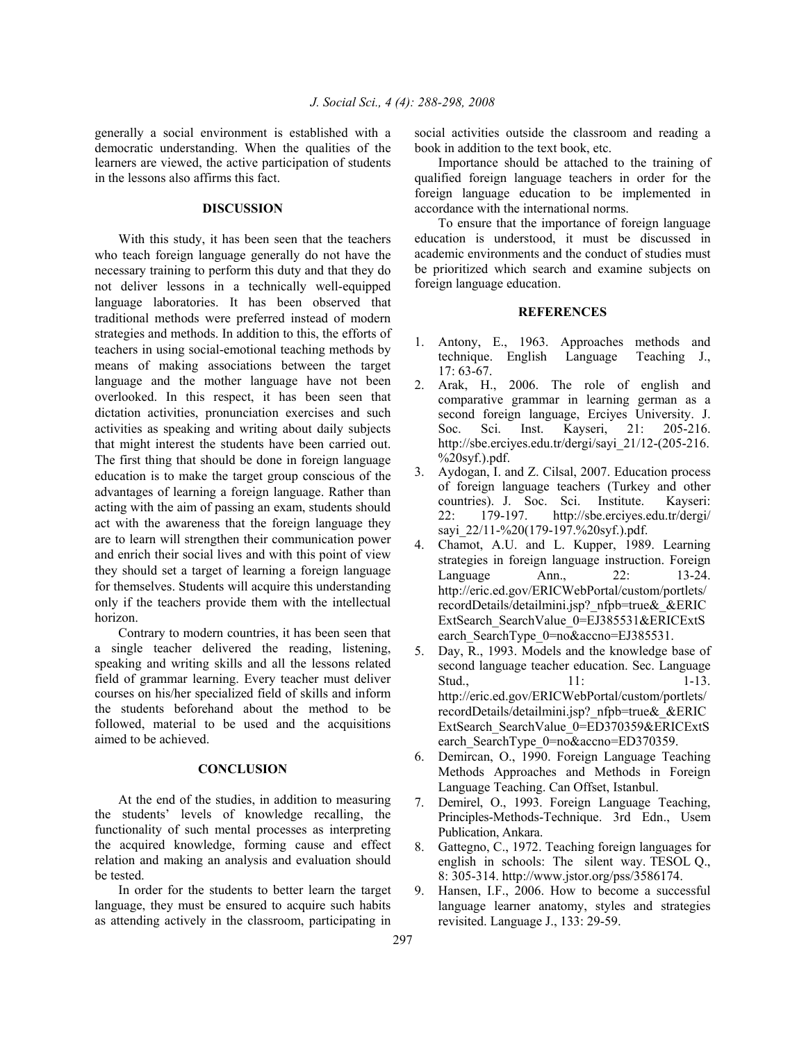generally a social environment is established with a democratic understanding. When the qualities of the learners are viewed, the active participation of students in the lessons also affirms this fact.

# **DISCUSSION**

 With this study, it has been seen that the teachers who teach foreign language generally do not have the necessary training to perform this duty and that they do not deliver lessons in a technically well-equipped language laboratories. It has been observed that traditional methods were preferred instead of modern strategies and methods. In addition to this, the efforts of teachers in using social-emotional teaching methods by means of making associations between the target language and the mother language have not been overlooked. In this respect, it has been seen that dictation activities, pronunciation exercises and such activities as speaking and writing about daily subjects that might interest the students have been carried out. The first thing that should be done in foreign language education is to make the target group conscious of the advantages of learning a foreign language. Rather than acting with the aim of passing an exam, students should act with the awareness that the foreign language they are to learn will strengthen their communication power and enrich their social lives and with this point of view they should set a target of learning a foreign language for themselves. Students will acquire this understanding only if the teachers provide them with the intellectual horizon.

 Contrary to modern countries, it has been seen that a single teacher delivered the reading, listening, speaking and writing skills and all the lessons related field of grammar learning. Every teacher must deliver courses on his/her specialized field of skills and inform the students beforehand about the method to be followed, material to be used and the acquisitions aimed to be achieved.

#### **CONCLUSION**

 At the end of the studies, in addition to measuring the students' levels of knowledge recalling, the functionality of such mental processes as interpreting the acquired knowledge, forming cause and effect relation and making an analysis and evaluation should be tested.

 In order for the students to better learn the target language, they must be ensured to acquire such habits as attending actively in the classroom, participating in

social activities outside the classroom and reading a book in addition to the text book, etc.

 Importance should be attached to the training of qualified foreign language teachers in order for the foreign language education to be implemented in accordance with the international norms.

 To ensure that the importance of foreign language education is understood, it must be discussed in academic environments and the conduct of studies must be prioritized which search and examine subjects on foreign language education.

#### **REFERENCES**

- 1. Antony, E., 1963. Approaches methods and technique. English Language Teaching J., 17: 63-67.
- 2. Arak, H., 2006. The role of english and comparative grammar in learning german as a second foreign language, Erciyes University. J. Soc. Sci. Inst. Kayseri, 21: 205-216. http://sbe.erciyes.edu.tr/dergi/sayi\_21/12-(205-216.  $\%20$ syf.).pdf.
- 3. Aydogan, I. and Z. Cilsal, 2007. Education process of foreign language teachers (Turkey and other countries). J. Soc. Sci. Institute. Kayseri: 22: 179-197. http://sbe.erciyes.edu.tr/dergi/ sayi 22/11-%20(179-197.%20syf.).pdf.
- 4. Chamot, A.U. and L. Kupper, 1989. Learning strategies in foreign language instruction. Foreign Language Ann., 22: 13-24. http://eric.ed.gov/ERICWebPortal/custom/portlets/ recordDetails/detailmini.jsp?\_nfpb=true&\_&ERIC ExtSearch\_SearchValue\_0=EJ385531&ERICExtS earch SearchType 0=no&accno=EJ385531.
- 5. Day, R., 1993. Models and the knowledge base of second language teacher education. Sec. Language Stud., 11: 1-13. http://eric.ed.gov/ERICWebPortal/custom/portlets/ recordDetails/detailmini.jsp?\_nfpb=true&\_&ERIC ExtSearch\_SearchValue\_0=ED370359&ERICExtS earch SearchType 0=no&accno=ED370359.
- 6. Demircan, O., 1990. Foreign Language Teaching Methods Approaches and Methods in Foreign Language Teaching. Can Offset, Istanbul.
- 7. Demirel, O., 1993. Foreign Language Teaching, Principles-Methods-Technique. 3rd Edn., Usem Publication, Ankara.
- 8. Gattegno, C., 1972. Teaching foreign languages for english in schools: The silent way. TESOL Q., 8: 305-314. http://www.jstor.org/pss/3586174.
- 9. Hansen, I.F., 2006. How to become a successful language learner anatomy, styles and strategies revisited. Language J., 133: 29-59.